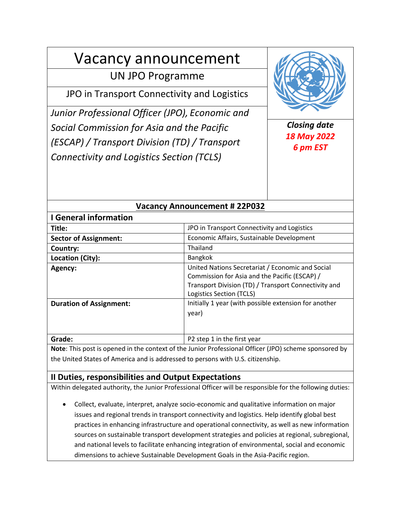# Vacancy announcement

# UN JPO Programme

JPO in Transport Connectivity and Logistics

*Junior Professional Officer (JPO), Economic and Social Commission for Asia and the Pacific (ESCAP) / Transport Division (TD) / Transport Connectivity and Logistics Section (TCLS)*



*Closing date 18 May 2022 6 pm EST*

| <b>Vacancy Announcement #22P032</b> |                                                                                                                                                                                       |
|-------------------------------------|---------------------------------------------------------------------------------------------------------------------------------------------------------------------------------------|
| <b>I</b> General information        |                                                                                                                                                                                       |
| Title:                              | JPO in Transport Connectivity and Logistics                                                                                                                                           |
| <b>Sector of Assignment:</b>        | Economic Affairs, Sustainable Development                                                                                                                                             |
| Country:                            | Thailand                                                                                                                                                                              |
| Location (City):                    | Bangkok                                                                                                                                                                               |
| Agency:                             | United Nations Secretariat / Economic and Social<br>Commission for Asia and the Pacific (ESCAP) /<br>Transport Division (TD) / Transport Connectivity and<br>Logistics Section (TCLS) |
| <b>Duration of Assignment:</b>      | Initially 1 year (with possible extension for another<br>year)                                                                                                                        |
| Grade:                              | P2 step 1 in the first year                                                                                                                                                           |

**Note**: This post is opened in the context of the Junior Professional Officer (JPO) scheme sponsored by the United States of America and is addressed to persons with U.S. citizenship.

# **II Duties, responsibilities and Output Expectations**

Within delegated authority, the Junior Professional Officer will be responsible for the following duties:

• Collect, evaluate, interpret, analyze socio-economic and qualitative information on major issues and regional trends in transport connectivity and logistics. Help identify global best practices in enhancing infrastructure and operational connectivity, as well as new information sources on sustainable transport development strategies and policies at regional, subregional, and national levels to facilitate enhancing integration of environmental, social and economic dimensions to achieve Sustainable Development Goals in the Asia-Pacific region.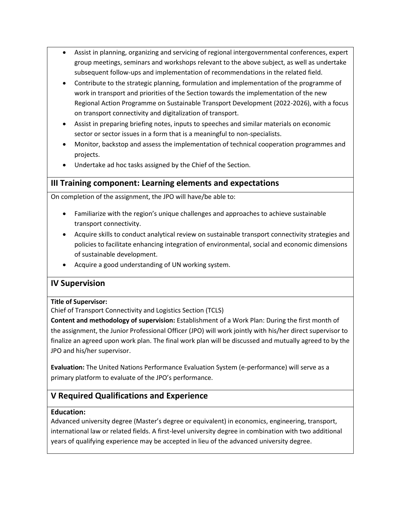- Assist in planning, organizing and servicing of regional intergovernmental conferences, expert group meetings, seminars and workshops relevant to the above subject, as well as undertake subsequent follow-ups and implementation of recommendations in the related field.
- Contribute to the strategic planning, formulation and implementation of the programme of work in transport and priorities of the Section towards the implementation of the new Regional Action Programme on Sustainable Transport Development (2022-2026), with a focus on transport connectivity and digitalization of transport.
- Assist in preparing briefing notes, inputs to speeches and similar materials on economic sector or sector issues in a form that is a meaningful to non-specialists.
- Monitor, backstop and assess the implementation of technical cooperation programmes and projects.
- Undertake ad hoc tasks assigned by the Chief of the Section.

# **III Training component: Learning elements and expectations**

On completion of the assignment, the JPO will have/be able to:

- Familiarize with the region's unique challenges and approaches to achieve sustainable transport connectivity.
- Acquire skills to conduct analytical review on sustainable transport connectivity strategies and policies to facilitate enhancing integration of environmental, social and economic dimensions of sustainable development.
- Acquire a good understanding of UN working system.

# **IV Supervision**

#### **Title of Supervisor:**

Chief of Transport Connectivity and Logistics Section (TCLS)

**Content and methodology of supervision:** Establishment of a Work Plan: During the first month of the assignment, the Junior Professional Officer (JPO) will work jointly with his/her direct supervisor to finalize an agreed upon work plan. The final work plan will be discussed and mutually agreed to by the JPO and his/her supervisor.

**Evaluation:** The United Nations Performance Evaluation System (e-performance) will serve as a primary platform to evaluate of the JPO's performance.

# **V Required Qualifications and Experience**

#### **Education:**

Advanced university degree (Master's degree or equivalent) in economics, engineering, transport, international law or related fields. A first-level university degree in combination with two additional years of qualifying experience may be accepted in lieu of the advanced university degree.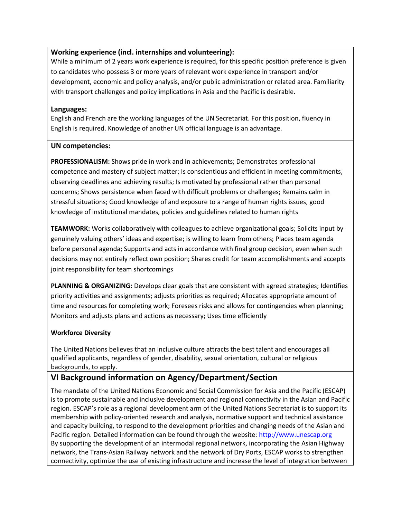#### **Working experience (incl. internships and volunteering):**

While a minimum of 2 years work experience is required, for this specific position preference is given to candidates who possess 3 or more years of relevant work experience in transport and/or development, economic and policy analysis, and/or public administration or related area. Familiarity with transport challenges and policy implications in Asia and the Pacific is desirable.

#### **Languages:**

English and French are the working languages of the UN Secretariat. For this position, fluency in English is required. Knowledge of another UN official language is an advantage.

#### **UN competencies:**

**PROFESSIONALISM:** Shows pride in work and in achievements; Demonstrates professional competence and mastery of subject matter; Is conscientious and efficient in meeting commitments, observing deadlines and achieving results; Is motivated by professional rather than personal concerns; Shows persistence when faced with difficult problems or challenges; Remains calm in stressful situations; Good knowledge of and exposure to a range of human rights issues, good knowledge of institutional mandates, policies and guidelines related to human rights

**TEAMWORK:** Works collaboratively with colleagues to achieve organizational goals; Solicits input by genuinely valuing others' ideas and expertise; is willing to learn from others; Places team agenda before personal agenda; Supports and acts in accordance with final group decision, even when such decisions may not entirely reflect own position; Shares credit for team accomplishments and accepts joint responsibility for team shortcomings

**PLANNING & ORGANIZING:** Develops clear goals that are consistent with agreed strategies; Identifies priority activities and assignments; adjusts priorities as required; Allocates appropriate amount of time and resources for completing work; Foresees risks and allows for contingencies when planning; Monitors and adjusts plans and actions as necessary; Uses time efficiently

#### **Workforce Diversity**

The United Nations believes that an inclusive culture attracts the best talent and encourages all qualified applicants, regardless of gender, disability, sexual orientation, cultural or religious backgrounds, to apply.

# **VI Background information on Agency/Department/Section**

The mandate of the United Nations Economic and Social Commission for Asia and the Pacific (ESCAP) is to promote sustainable and inclusive development and regional connectivity in the Asian and Pacific region. ESCAP's role as a regional development arm of the United Nations Secretariat is to support its membership with policy-oriented research and analysis, normative support and technical assistance and capacity building, to respond to the development priorities and changing needs of the Asian and Pacific region. Detailed information can be found through the website: [http://www.unescap.org](http://www.unescap.org/) By supporting the development of an intermodal regional network, incorporating the Asian Highway network, the Trans-Asian Railway network and the network of Dry Ports, ESCAP works to strengthen connectivity, optimize the use of existing infrastructure and increase the level of integration between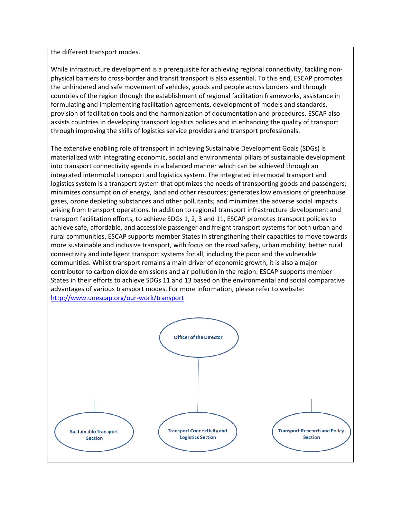the different transport modes.

While infrastructure development is a prerequisite for achieving regional connectivity, tackling nonphysical barriers to cross-border and transit transport is also essential. To this end, ESCAP promotes the unhindered and safe movement of vehicles, goods and people across borders and through countries of the region through the establishment of regional facilitation frameworks, assistance in formulating and implementing facilitation agreements, development of models and standards, provision of facilitation tools and the harmonization of documentation and procedures. ESCAP also assists countries in developing transport logistics policies and in enhancing the quality of transport through improving the skills of logistics service providers and transport professionals.

The extensive enabling role of transport in achieving Sustainable Development Goals (SDGs) is materialized with integrating economic, social and environmental pillars of sustainable development into transport connectivity agenda in a balanced manner which can be achieved through an integrated intermodal transport and logistics system. The integrated intermodal transport and logistics system is a transport system that optimizes the needs of transporting goods and passengers; minimizes consumption of energy, land and other resources; generates low emissions of greenhouse gases, ozone depleting substances and other pollutants; and minimizes the adverse social impacts arising from transport operations. In addition to regional transport infrastructure development and transport facilitation efforts, to achieve SDGs 1, 2, 3 and 11, ESCAP promotes transport policies to achieve safe, affordable, and accessible passenger and freight transport systems for both urban and rural communities. ESCAP supports member States in strengthening their capacities to move towards more sustainable and inclusive transport, with focus on the road safety, urban mobility, better rural connectivity and intelligent transport systems for all, including the poor and the vulnerable communities. Whilst transport remains a main driver of economic growth, it is also a major contributor to carbon dioxide emissions and air pollution in the region. ESCAP supports member States in their efforts to achieve SDGs 11 and 13 based on the environmental and social comparative advantages of various transport modes. For more information, please refer to website: <http://www.unescap.org/our-work/transport>